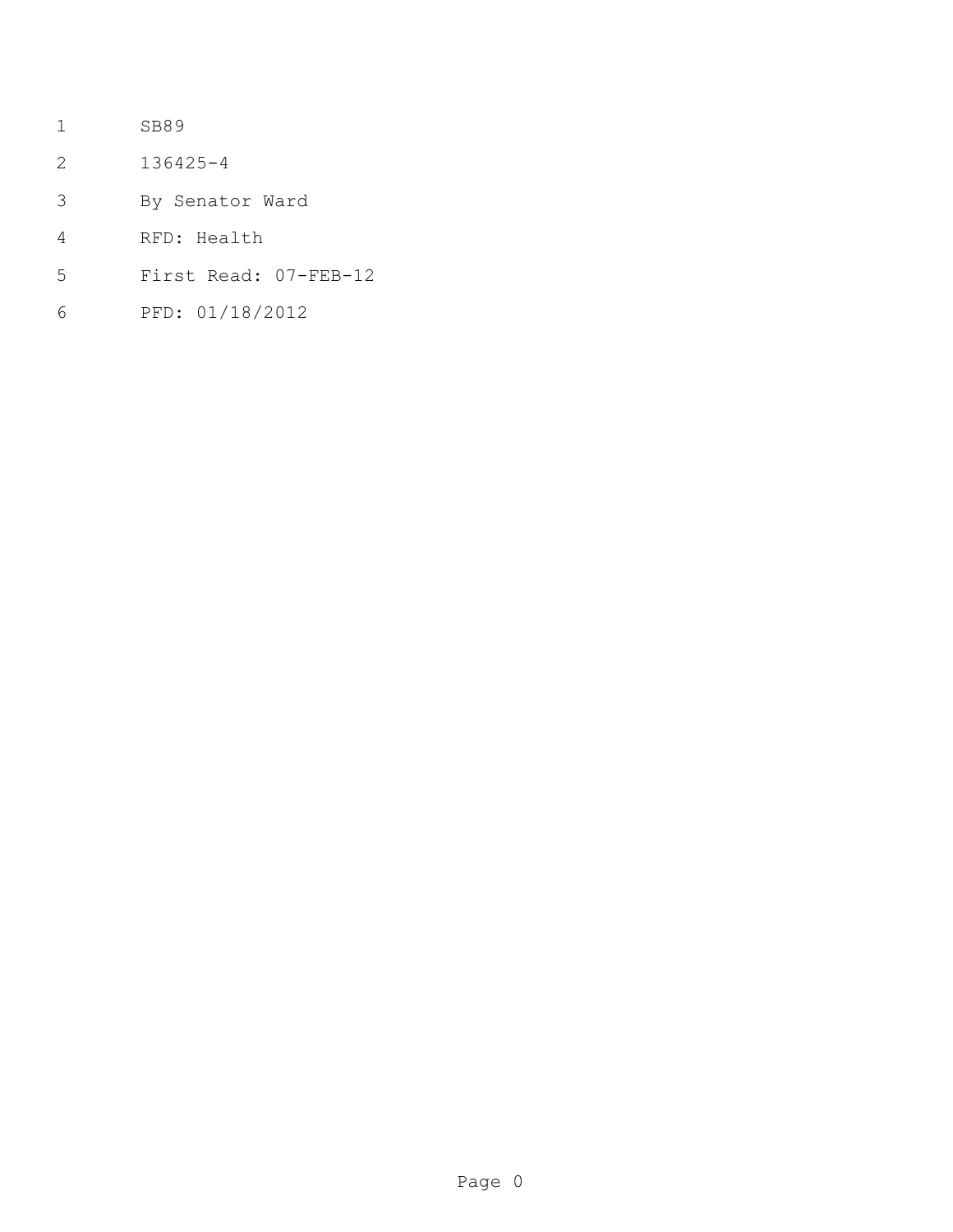- SB89
- 136425-4
- By Senator Ward
- RFD: Health
- First Read: 07-FEB-12
- PFD: 01/18/2012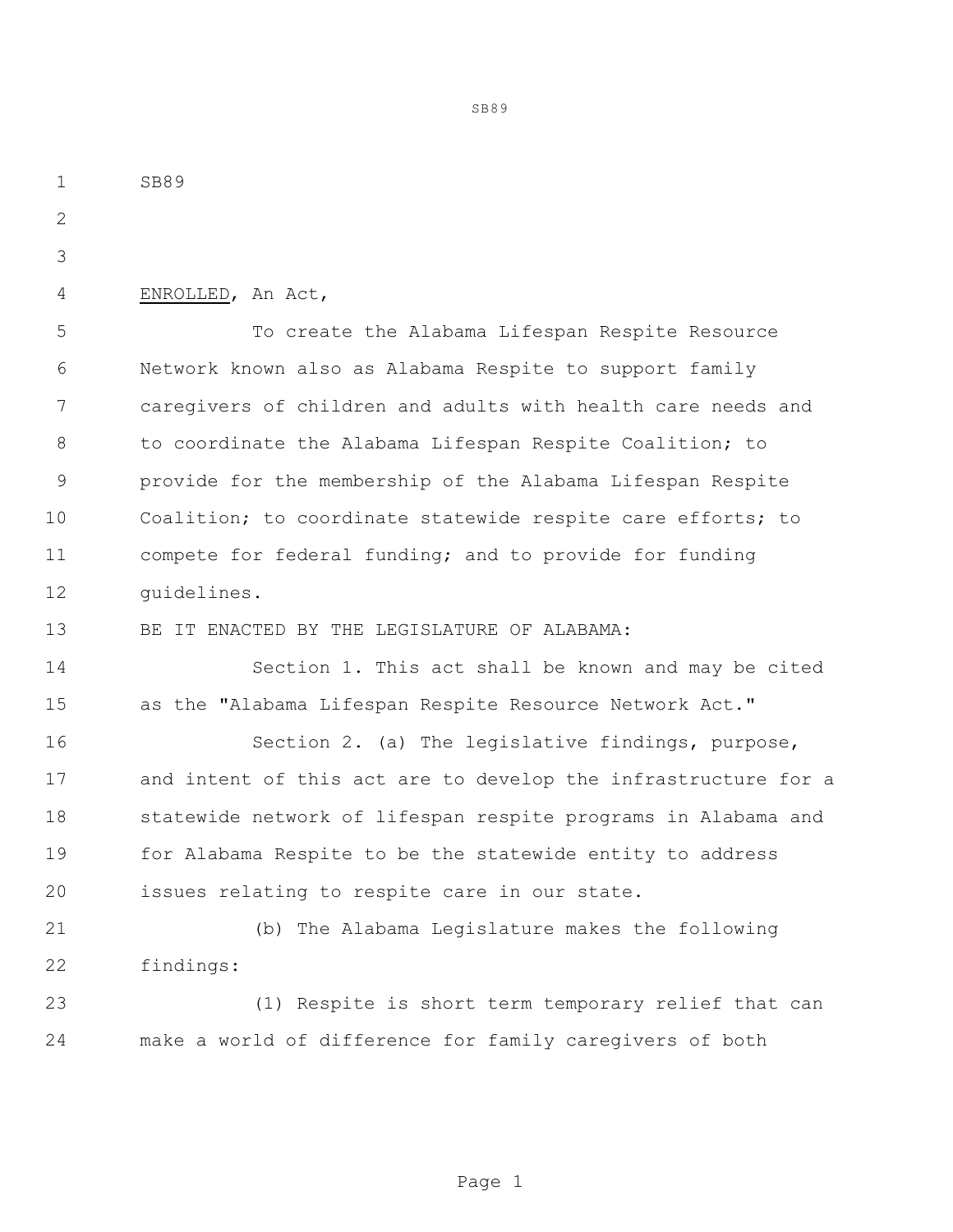SB89 4 ENROLLED, An Act, To create the Alabama Lifespan Respite Resource Network known also as Alabama Respite to support family caregivers of children and adults with health care needs and 8 to coordinate the Alabama Lifespan Respite Coalition; to provide for the membership of the Alabama Lifespan Respite Coalition; to coordinate statewide respite care efforts; to compete for federal funding; and to provide for funding guidelines. BE IT ENACTED BY THE LEGISLATURE OF ALABAMA: Section 1. This act shall be known and may be cited as the "Alabama Lifespan Respite Resource Network Act." Section 2. (a) The legislative findings, purpose, and intent of this act are to develop the infrastructure for a statewide network of lifespan respite programs in Alabama and for Alabama Respite to be the statewide entity to address issues relating to respite care in our state. (b) The Alabama Legislature makes the following findings: (1) Respite is short term temporary relief that can make a world of difference for family caregivers of both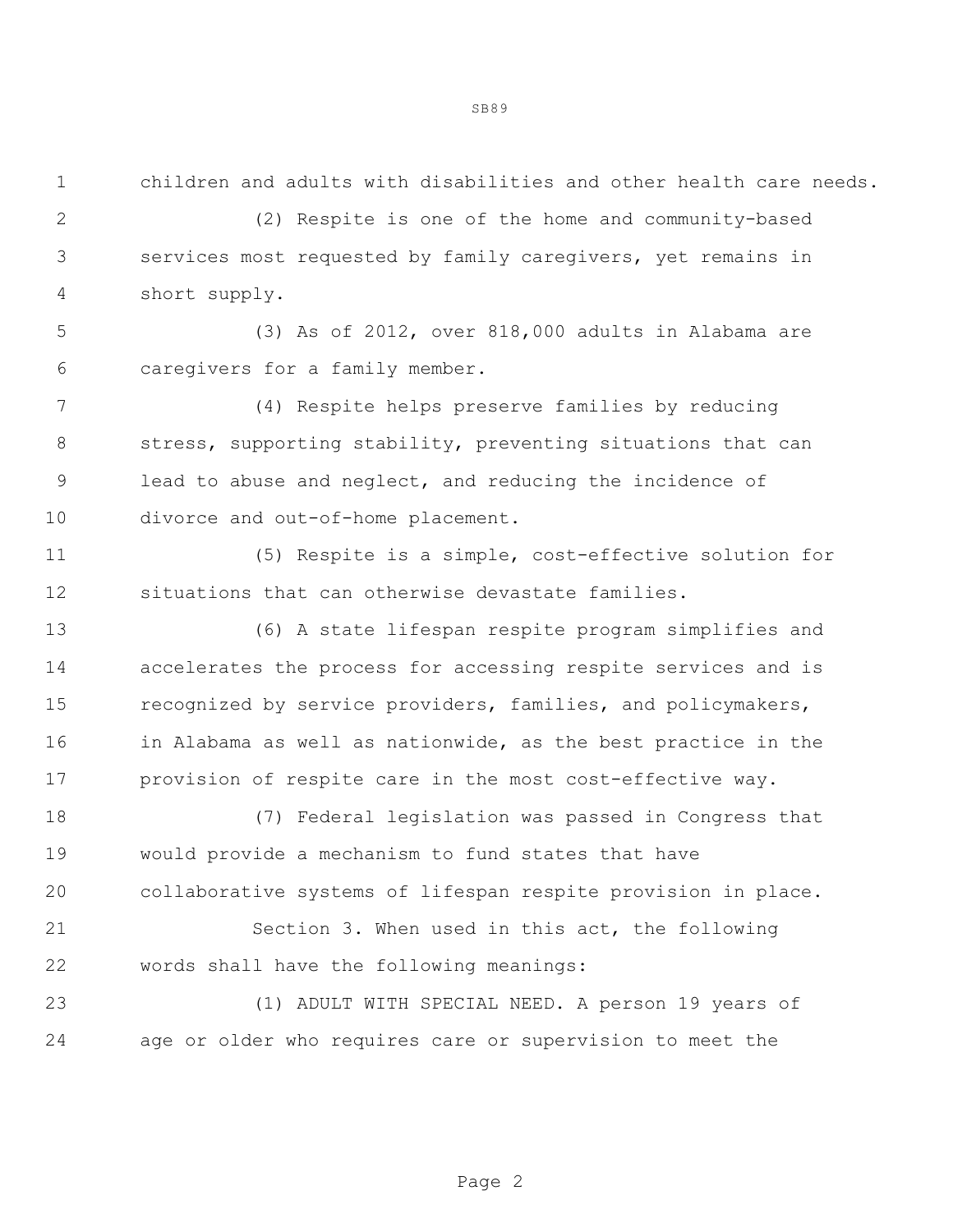children and adults with disabilities and other health care needs.

 (2) Respite is one of the home and community-based services most requested by family caregivers, yet remains in short supply.

 (3) As of 2012, over 818,000 adults in Alabama are caregivers for a family member.

 (4) Respite helps preserve families by reducing 8 stress, supporting stability, preventing situations that can lead to abuse and neglect, and reducing the incidence of divorce and out-of-home placement.

 (5) Respite is a simple, cost-effective solution for situations that can otherwise devastate families.

 (6) A state lifespan respite program simplifies and accelerates the process for accessing respite services and is recognized by service providers, families, and policymakers, 16 in Alabama as well as nationwide, as the best practice in the provision of respite care in the most cost-effective way.

 (7) Federal legislation was passed in Congress that would provide a mechanism to fund states that have collaborative systems of lifespan respite provision in place.

 Section 3. When used in this act, the following words shall have the following meanings:

 (1) ADULT WITH SPECIAL NEED. A person 19 years of age or older who requires care or supervision to meet the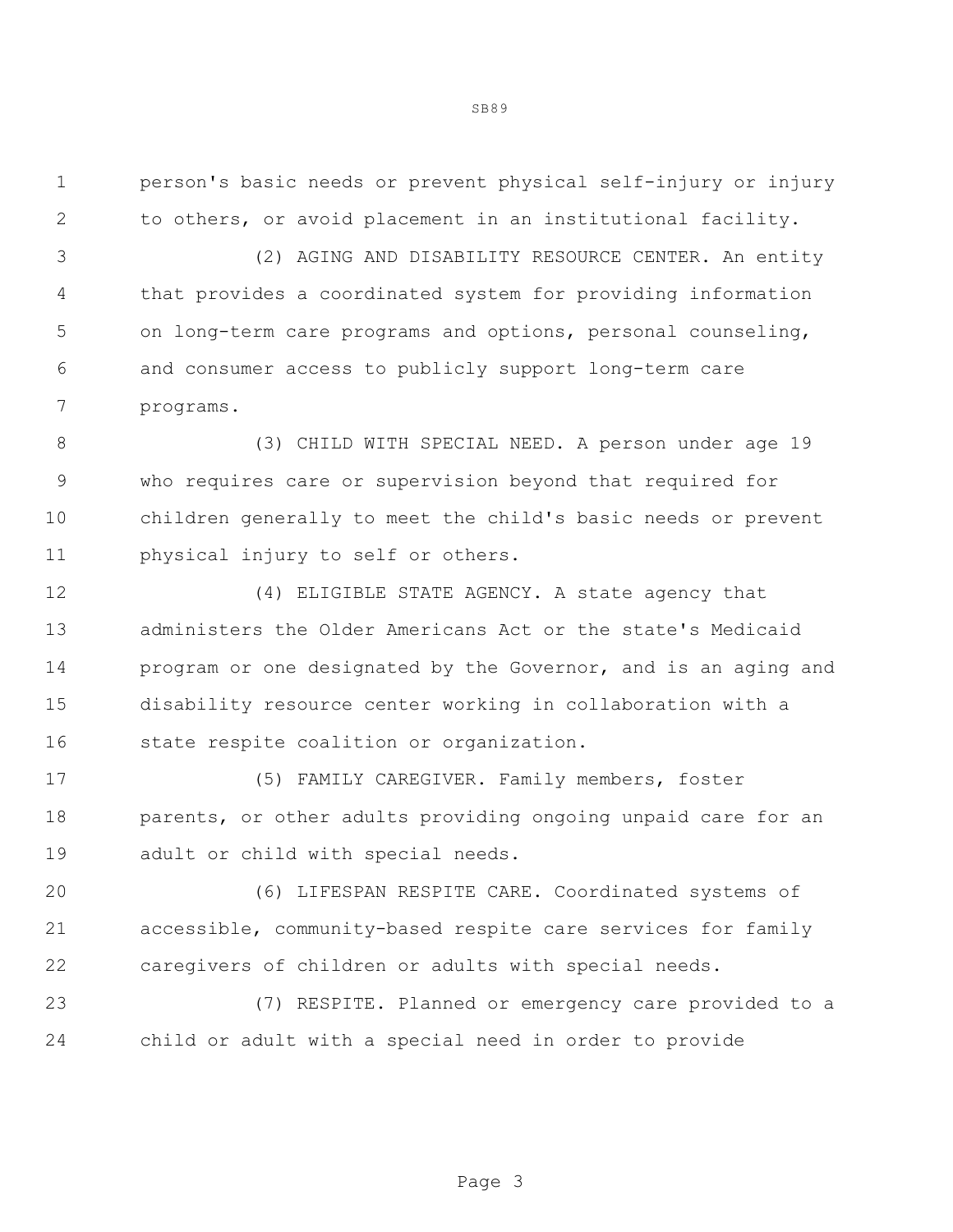person's basic needs or prevent physical self-injury or injury to others, or avoid placement in an institutional facility.

 (2) AGING AND DISABILITY RESOURCE CENTER. An entity that provides a coordinated system for providing information on long-term care programs and options, personal counseling, and consumer access to publicly support long-term care programs.

 (3) CHILD WITH SPECIAL NEED. A person under age 19 who requires care or supervision beyond that required for children generally to meet the child's basic needs or prevent physical injury to self or others.

 (4) ELIGIBLE STATE AGENCY. A state agency that administers the Older Americans Act or the state's Medicaid program or one designated by the Governor, and is an aging and disability resource center working in collaboration with a state respite coalition or organization.

 (5) FAMILY CAREGIVER. Family members, foster 18 parents, or other adults providing ongoing unpaid care for an adult or child with special needs.

 (6) LIFESPAN RESPITE CARE. Coordinated systems of accessible, community-based respite care services for family caregivers of children or adults with special needs.

 (7) RESPITE. Planned or emergency care provided to a child or adult with a special need in order to provide

Page 3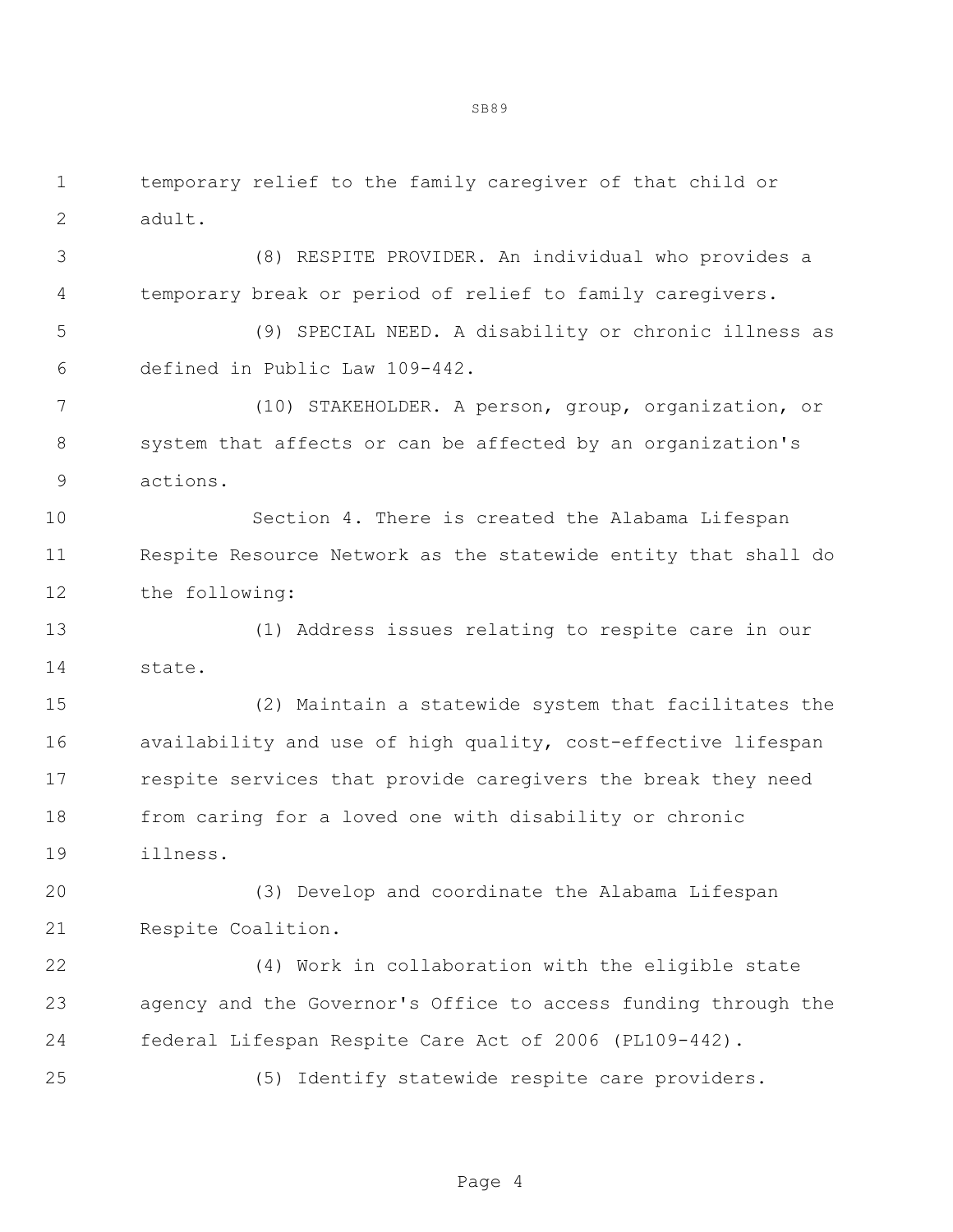temporary relief to the family caregiver of that child or adult.

 (8) RESPITE PROVIDER. An individual who provides a temporary break or period of relief to family caregivers.

 (9) SPECIAL NEED. A disability or chronic illness as defined in Public Law 109-442.

 (10) STAKEHOLDER. A person, group, organization, or system that affects or can be affected by an organization's actions.

 Section 4. There is created the Alabama Lifespan Respite Resource Network as the statewide entity that shall do the following:

 (1) Address issues relating to respite care in our state.

 (2) Maintain a statewide system that facilitates the 16 availability and use of high quality, cost-effective lifespan respite services that provide caregivers the break they need from caring for a loved one with disability or chronic illness.

 (3) Develop and coordinate the Alabama Lifespan Respite Coalition.

 (4) Work in collaboration with the eligible state agency and the Governor's Office to access funding through the federal Lifespan Respite Care Act of 2006 (PL109-442).

(5) Identify statewide respite care providers.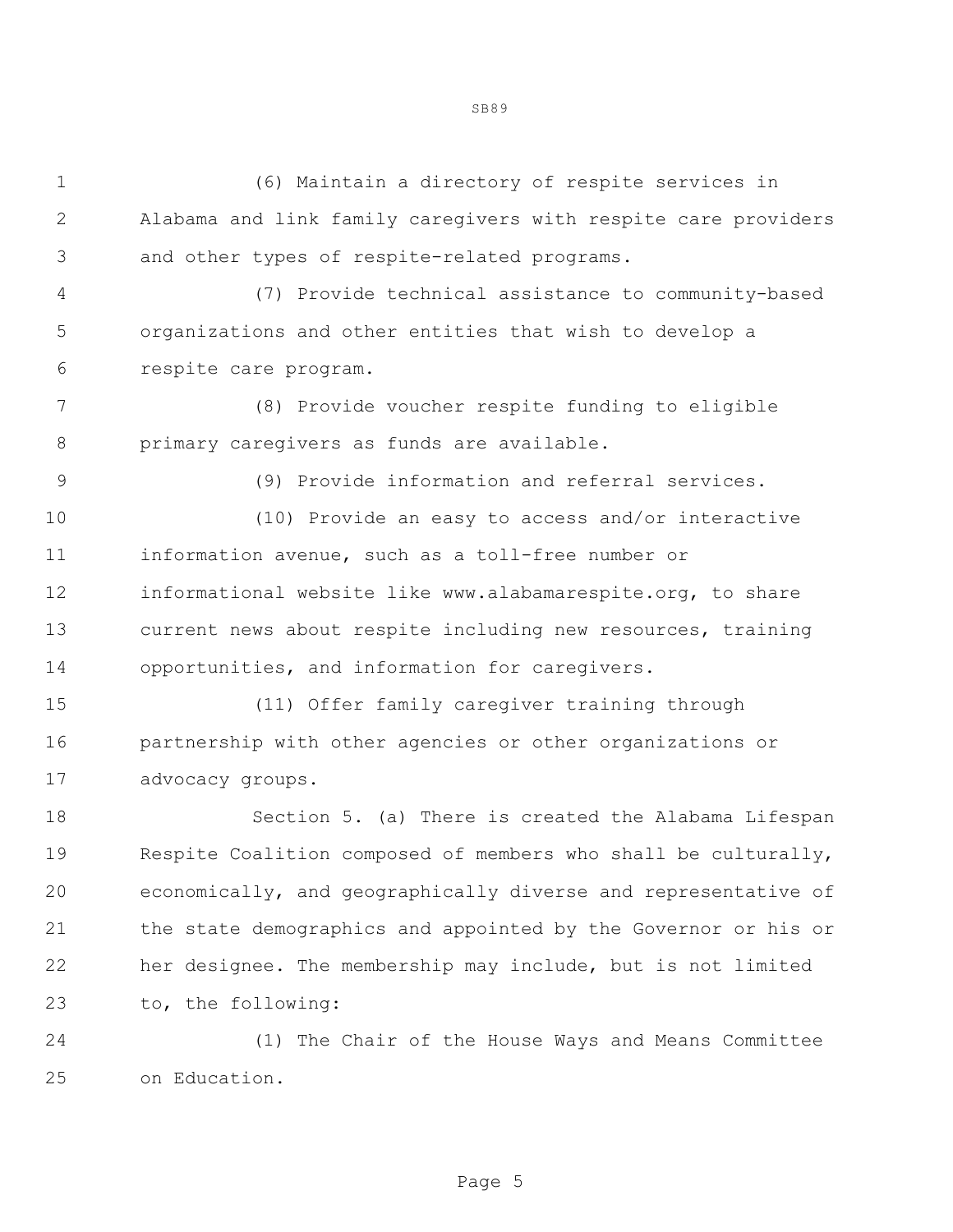| $\mathbf 1$    | (6) Maintain a directory of respite services in                |
|----------------|----------------------------------------------------------------|
| $\mathbf{2}$   | Alabama and link family caregivers with respite care providers |
| 3              | and other types of respite-related programs.                   |
| $\overline{4}$ | (7) Provide technical assistance to community-based            |
| 5              | organizations and other entities that wish to develop a        |
| 6              | respite care program.                                          |
| 7              | (8) Provide voucher respite funding to eligible                |
| 8              | primary caregivers as funds are available.                     |
| $\mathsf 9$    | (9) Provide information and referral services.                 |
| 10             | (10) Provide an easy to access and/or interactive              |
| 11             | information avenue, such as a toll-free number or              |
| 12             | informational website like www.alabamarespite.org, to share    |
| 13             | current news about respite including new resources, training   |
| 14             | opportunities, and information for caregivers.                 |
| 15             | (11) Offer family caregiver training through                   |
| 16             | partnership with other agencies or other organizations or      |
| 17             | advocacy groups.                                               |
| 18             | Section 5. (a) There is created the Alabama Lifespan           |
| 19             | Respite Coalition composed of members who shall be culturally, |
| 20             | economically, and geographically diverse and representative of |
| 21             | the state demographics and appointed by the Governor or his or |
| 22             | her designee. The membership may include, but is not limited   |
| 23             | to, the following:                                             |
|                |                                                                |

 (1) The Chair of the House Ways and Means Committee on Education.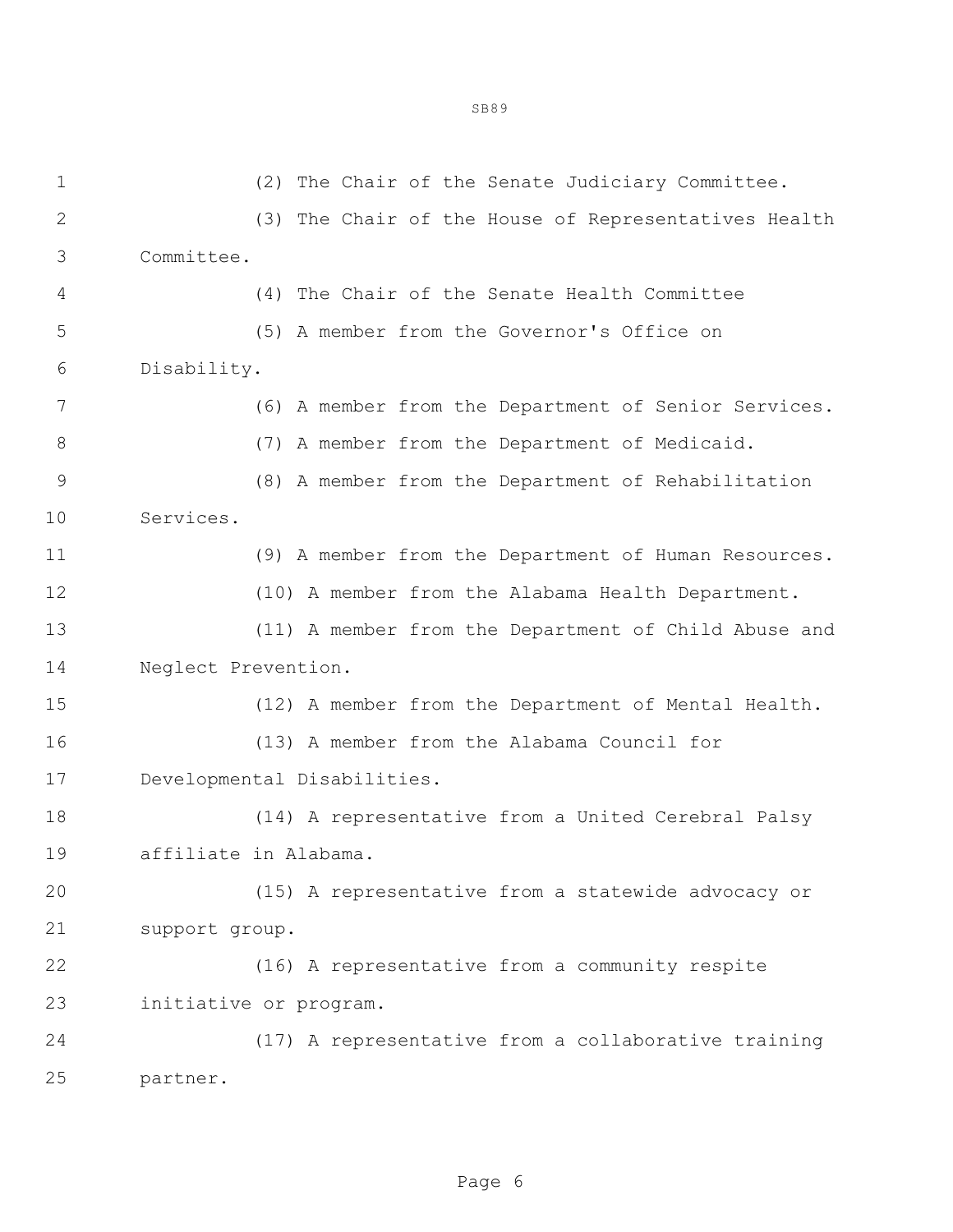| $\mathbf 1$    | (2) The Chair of the Senate Judiciary Committee.     |
|----------------|------------------------------------------------------|
| $\mathbf{2}$   | (3) The Chair of the House of Representatives Health |
| $\mathfrak{Z}$ | Committee.                                           |
| 4              | (4) The Chair of the Senate Health Committee         |
| 5              | (5) A member from the Governor's Office on           |
| 6              | Disability.                                          |
| 7              | (6) A member from the Department of Senior Services. |
| $\,8\,$        | (7) A member from the Department of Medicaid.        |
| $\mathsf 9$    | (8) A member from the Department of Rehabilitation   |
| 10             | Services.                                            |
| 11             | (9) A member from the Department of Human Resources. |
| 12             | (10) A member from the Alabama Health Department.    |
| 13             | (11) A member from the Department of Child Abuse and |
| 14             | Neglect Prevention.                                  |
| 15             | (12) A member from the Department of Mental Health.  |
| 16             | (13) A member from the Alabama Council for           |
| 17             | Developmental Disabilities.                          |
| 18             | (14) A representative from a United Cerebral Palsy   |
| 19             | affiliate in Alabama.                                |
| 20             | (15) A representative from a statewide advocacy or   |
| 21             | support group.                                       |
| 22             | (16) A representative from a community respite       |
| 23             | initiative or program.                               |
| 24             | (17) A representative from a collaborative training  |
| 25             | partner.                                             |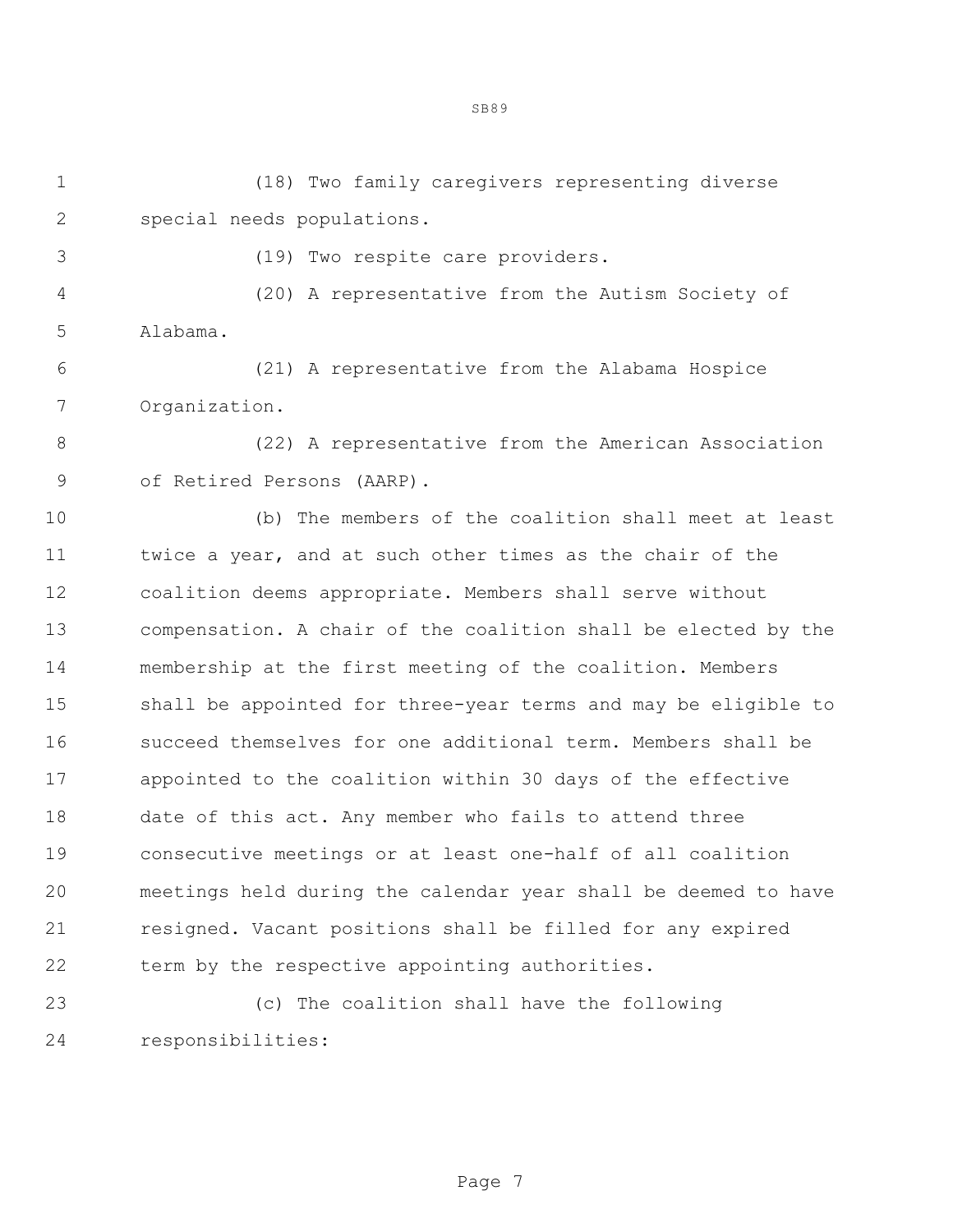(18) Two family caregivers representing diverse special needs populations.

SB89

(19) Two respite care providers.

 (20) A representative from the Autism Society of Alabama.

 (21) A representative from the Alabama Hospice Organization.

 (22) A representative from the American Association of Retired Persons (AARP).

 (b) The members of the coalition shall meet at least twice a year, and at such other times as the chair of the coalition deems appropriate. Members shall serve without compensation. A chair of the coalition shall be elected by the membership at the first meeting of the coalition. Members shall be appointed for three-year terms and may be eligible to succeed themselves for one additional term. Members shall be appointed to the coalition within 30 days of the effective date of this act. Any member who fails to attend three consecutive meetings or at least one-half of all coalition meetings held during the calendar year shall be deemed to have resigned. Vacant positions shall be filled for any expired 22 term by the respective appointing authorities.

 (c) The coalition shall have the following responsibilities: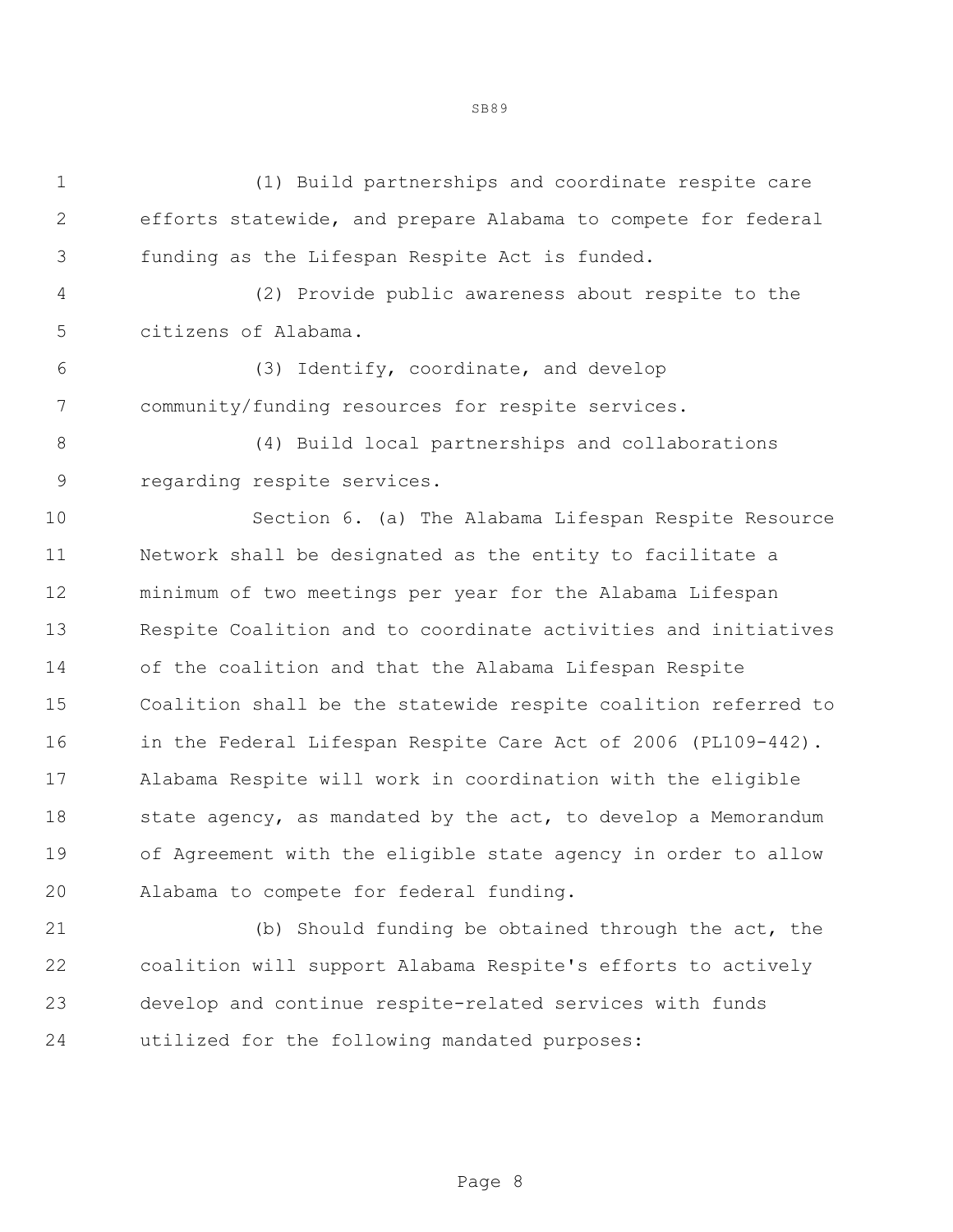(1) Build partnerships and coordinate respite care efforts statewide, and prepare Alabama to compete for federal funding as the Lifespan Respite Act is funded. (2) Provide public awareness about respite to the citizens of Alabama. (3) Identify, coordinate, and develop community/funding resources for respite services. (4) Build local partnerships and collaborations regarding respite services. Section 6. (a) The Alabama Lifespan Respite Resource Network shall be designated as the entity to facilitate a minimum of two meetings per year for the Alabama Lifespan Respite Coalition and to coordinate activities and initiatives of the coalition and that the Alabama Lifespan Respite Coalition shall be the statewide respite coalition referred to 16 in the Federal Lifespan Respite Care Act of 2006 (PL109-442). Alabama Respite will work in coordination with the eligible 18 state agency, as mandated by the act, to develop a Memorandum of Agreement with the eligible state agency in order to allow Alabama to compete for federal funding.

 (b) Should funding be obtained through the act, the coalition will support Alabama Respite's efforts to actively develop and continue respite-related services with funds utilized for the following mandated purposes:

Page 8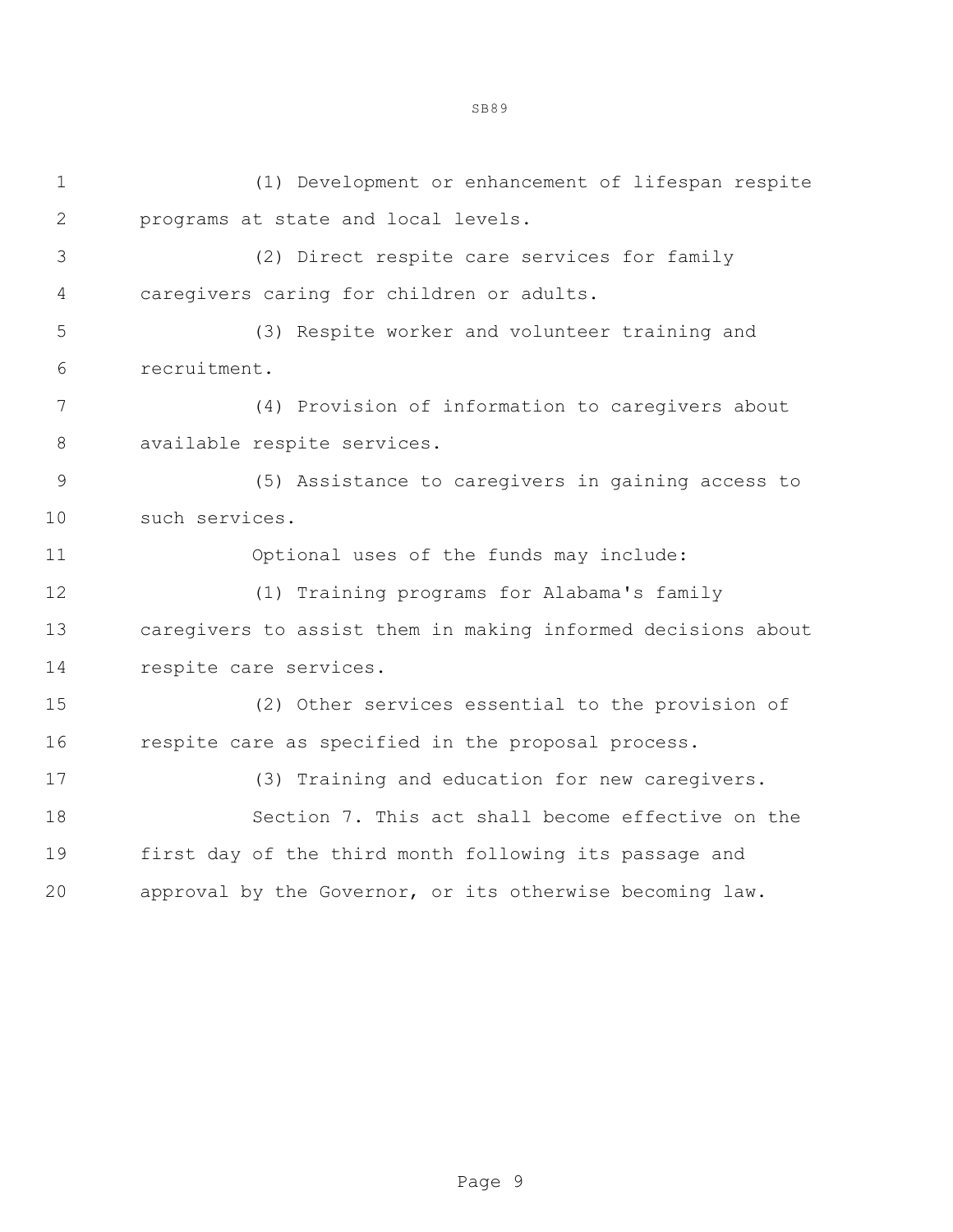(1) Development or enhancement of lifespan respite programs at state and local levels. (2) Direct respite care services for family caregivers caring for children or adults. (3) Respite worker and volunteer training and recruitment. (4) Provision of information to caregivers about available respite services. (5) Assistance to caregivers in gaining access to such services. Optional uses of the funds may include: (1) Training programs for Alabama's family caregivers to assist them in making informed decisions about respite care services. (2) Other services essential to the provision of respite care as specified in the proposal process. (3) Training and education for new caregivers. Section 7. This act shall become effective on the first day of the third month following its passage and approval by the Governor, or its otherwise becoming law.